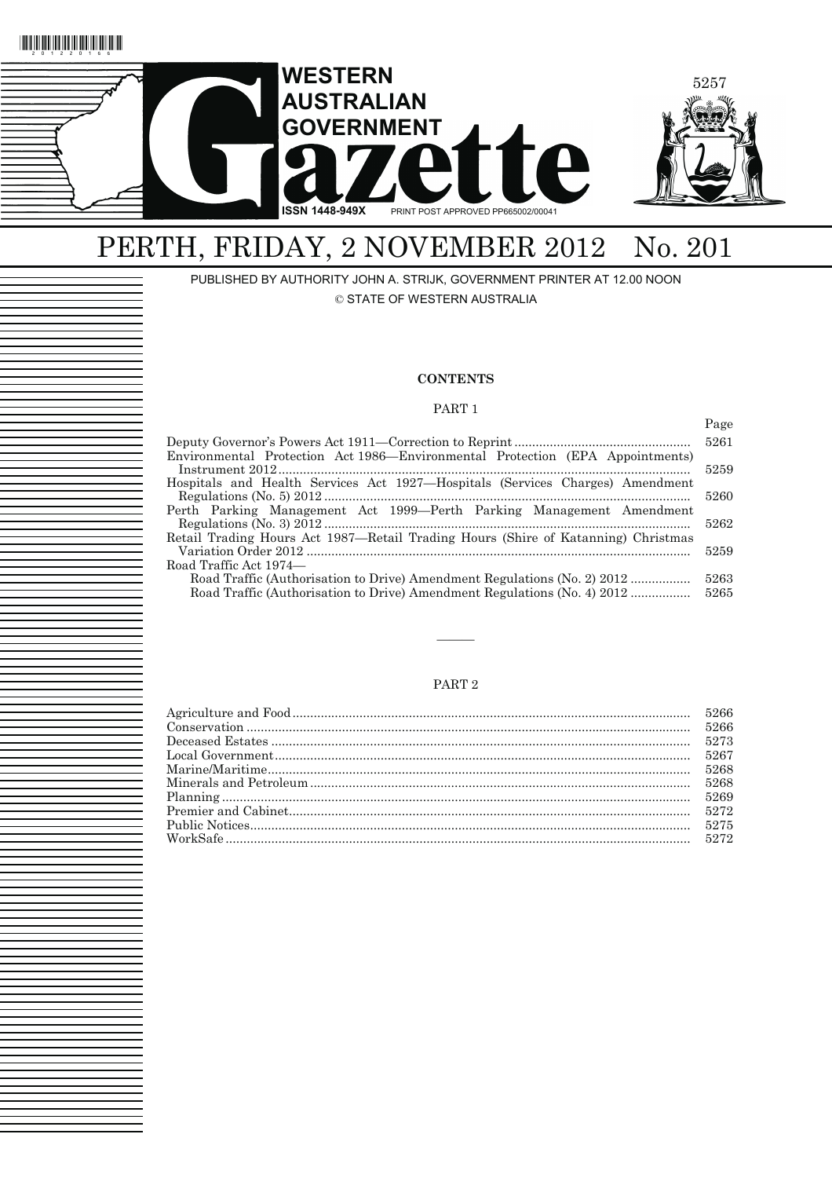

# PERTH, FRIDAY, 2 NOVEMBER 2012 No. 201

PUBLISHED BY AUTHORITY JOHN A. STRIJK, GOVERNMENT PRINTER AT 12.00 NOON © STATE OF WESTERN AUSTRALIA

### **CONTENTS**

#### PART 1

|                                                                                   | Page |
|-----------------------------------------------------------------------------------|------|
|                                                                                   | 5261 |
| Environmental Protection Act 1986—Environmental Protection (EPA Appointments)     |      |
|                                                                                   | 5259 |
| Hospitals and Health Services Act 1927—Hospitals (Services Charges) Amendment     |      |
|                                                                                   | 5260 |
| Perth Parking Management Act 1999—Perth Parking Management Amendment              |      |
|                                                                                   | 5262 |
| Retail Trading Hours Act 1987—Retail Trading Hours (Shire of Katanning) Christmas | 5259 |
|                                                                                   |      |
| Road Traffic Act 1974—                                                            | 5263 |
| Road Traffic (Authorisation to Drive) Amendment Regulations (No. 2) 2012          | 5265 |
| Road Traffic (Authorisation to Drive) Amendment Regulations (No. 4) 2012          |      |

### PART 2

———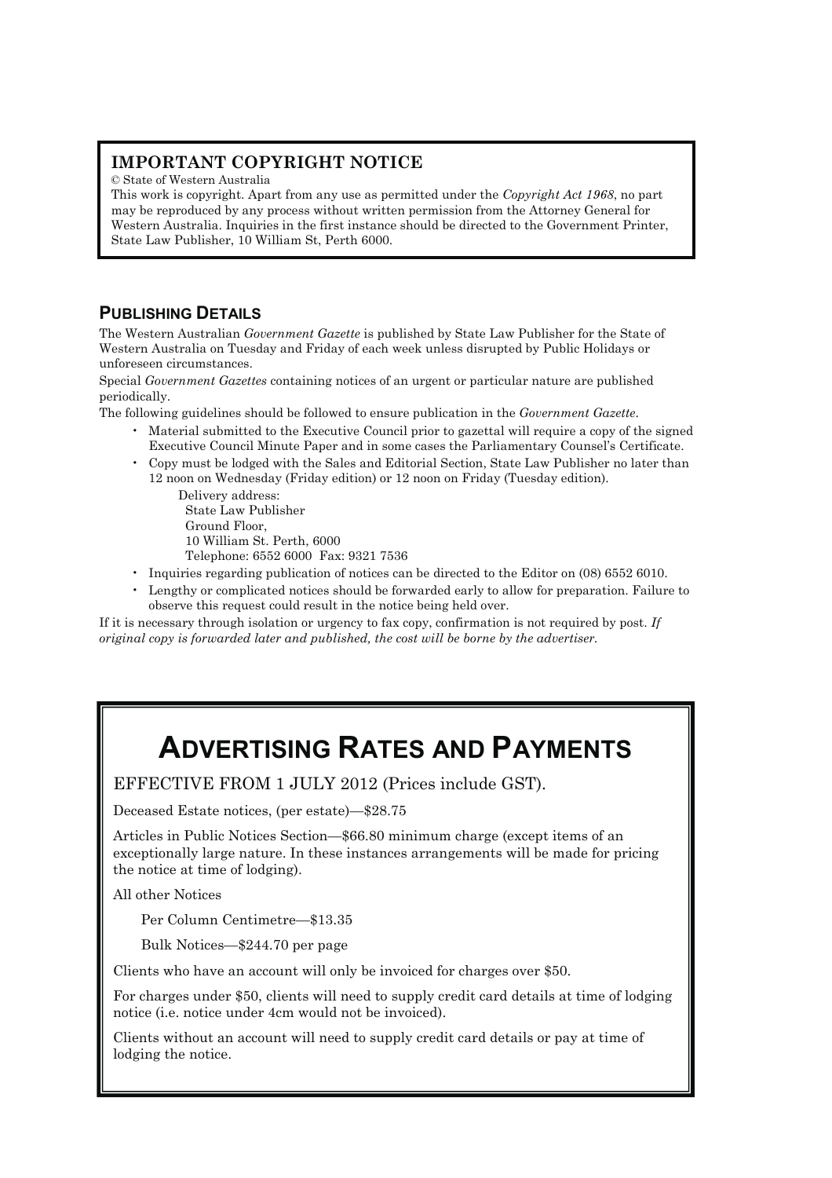## **IMPORTANT COPYRIGHT NOTICE**

© State of Western Australia

This work is copyright. Apart from any use as permitted under the *Copyright Act 1968*, no part may be reproduced by any process without written permission from the Attorney General for Western Australia. Inquiries in the first instance should be directed to the Government Printer, State Law Publisher, 10 William St, Perth 6000.

## **PUBLISHING DETAILS**

The Western Australian *Government Gazette* is published by State Law Publisher for the State of Western Australia on Tuesday and Friday of each week unless disrupted by Public Holidays or unforeseen circumstances.

Special *Government Gazettes* containing notices of an urgent or particular nature are published periodically.

The following guidelines should be followed to ensure publication in the *Government Gazette*.

- Material submitted to the Executive Council prior to gazettal will require a copy of the signed Executive Council Minute Paper and in some cases the Parliamentary Counsel's Certificate.
- Copy must be lodged with the Sales and Editorial Section, State Law Publisher no later than 12 noon on Wednesday (Friday edition) or 12 noon on Friday (Tuesday edition).

Delivery address: State Law Publisher Ground Floor, 10 William St. Perth, 6000 Telephone: 6552 6000 Fax: 9321 7536

- Inquiries regarding publication of notices can be directed to the Editor on (08) 6552 6010.
- Lengthy or complicated notices should be forwarded early to allow for preparation. Failure to observe this request could result in the notice being held over.

If it is necessary through isolation or urgency to fax copy, confirmation is not required by post. *If original copy is forwarded later and published, the cost will be borne by the advertiser.* 

# **ADVERTISING RATES AND PAYMENTS**

EFFECTIVE FROM 1 JULY 2012 (Prices include GST).

Deceased Estate notices, (per estate)—\$28.75

Articles in Public Notices Section—\$66.80 minimum charge (except items of an exceptionally large nature. In these instances arrangements will be made for pricing the notice at time of lodging).

All other Notices

Per Column Centimetre—\$13.35

Bulk Notices—\$244.70 per page

Clients who have an account will only be invoiced for charges over \$50.

For charges under \$50, clients will need to supply credit card details at time of lodging notice (i.e. notice under 4cm would not be invoiced).

Clients without an account will need to supply credit card details or pay at time of lodging the notice.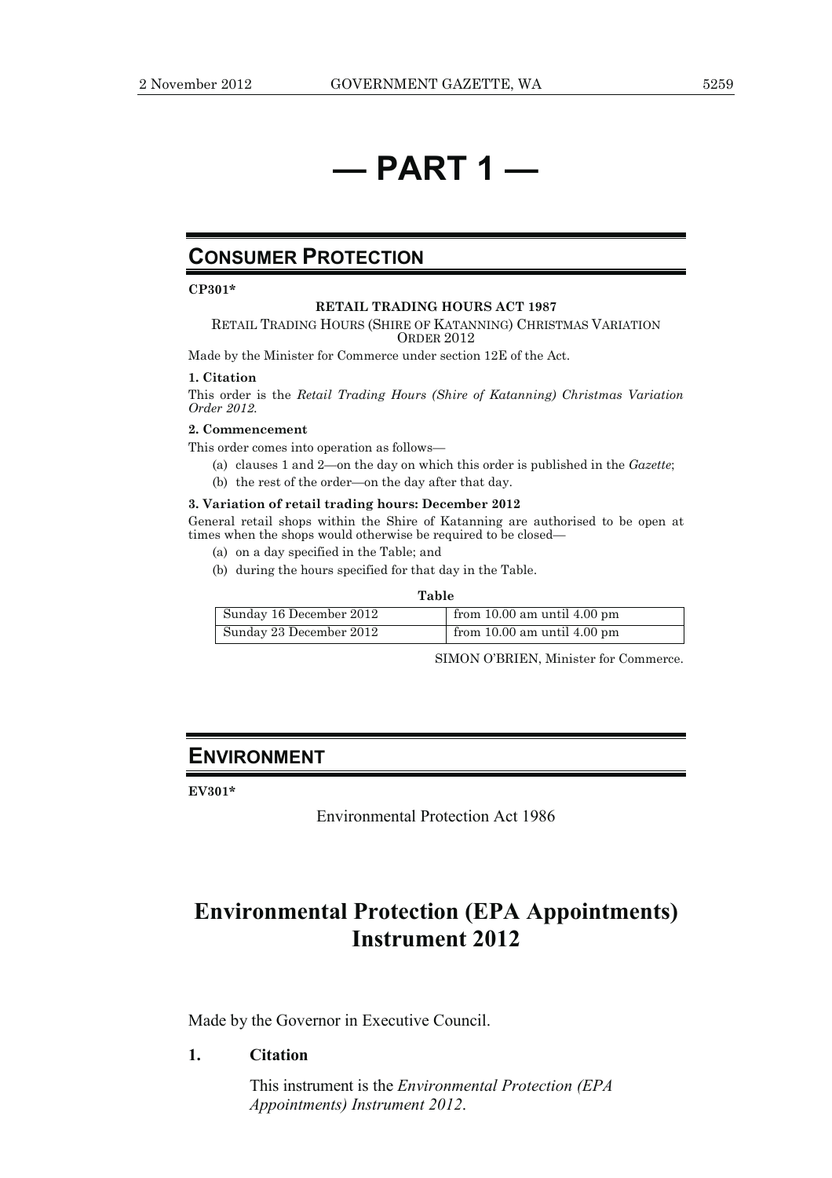## **— PART 1 —**

## **CONSUMER PROTECTION**

**CP301\*** 

#### **RETAIL TRADING HOURS ACT 1987**

RETAIL TRADING HOURS (SHIRE OF KATANNING) CHRISTMAS VARIATION ORDER 2012

Made by the Minister for Commerce under section 12E of the Act.

#### **1. Citation**

This order is the *Retail Trading Hours (Shire of Katanning) Christmas Variation Order 2012.* 

#### **2. Commencement**

This order comes into operation as follows—

- (a) clauses 1 and 2—on the day on which this order is published in the *Gazette*;
- (b) the rest of the order—on the day after that day.

#### **3. Variation of retail trading hours: December 2012**

General retail shops within the Shire of Katanning are authorised to be open at times when the shops would otherwise be required to be closed—

- (a) on a day specified in the Table; and
- (b) during the hours specified for that day in the Table.

#### **Table**

| Sunday 16 December 2012 | from 10.00 am until $\overline{4.00 \text{ pm}}$ |
|-------------------------|--------------------------------------------------|
| Sunday 23 December 2012 | from 10.00 am until $\overline{4.00 \text{ pm}}$ |

SIMON O'BRIEN, Minister for Commerce.

## **ENVIRONMENT**

**EV301\*** 

Environmental Protection Act 1986

## **Environmental Protection (EPA Appointments) Instrument 2012**

Made by the Governor in Executive Council.

### **1. Citation**

 This instrument is the *Environmental Protection (EPA Appointments) Instrument 2012*.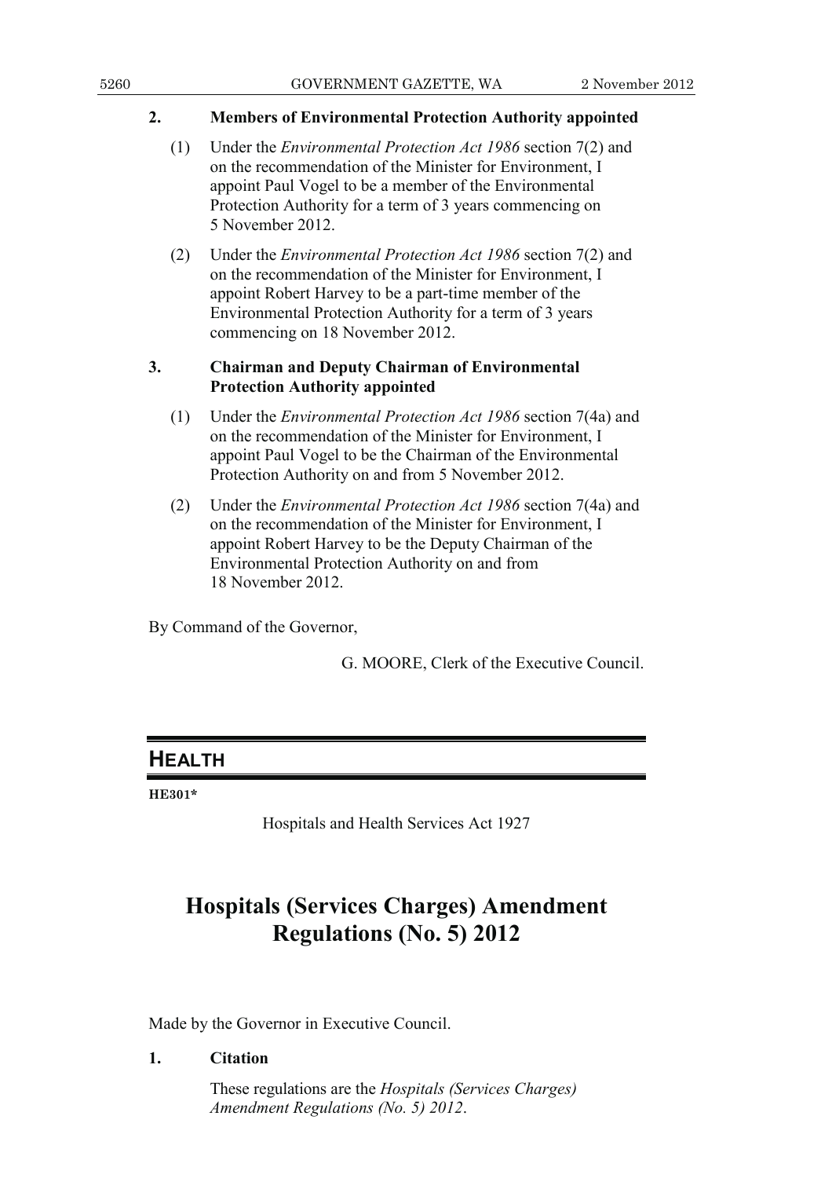## **2. Members of Environmental Protection Authority appointed**

- (1) Under the *Environmental Protection Act 1986* section 7(2) and on the recommendation of the Minister for Environment, I appoint Paul Vogel to be a member of the Environmental Protection Authority for a term of 3 years commencing on 5 November 2012.
- (2) Under the *Environmental Protection Act 1986* section 7(2) and on the recommendation of the Minister for Environment, I appoint Robert Harvey to be a part-time member of the Environmental Protection Authority for a term of 3 years commencing on 18 November 2012.

## **3. Chairman and Deputy Chairman of Environmental Protection Authority appointed**

- (1) Under the *Environmental Protection Act 1986* section 7(4a) and on the recommendation of the Minister for Environment, I appoint Paul Vogel to be the Chairman of the Environmental Protection Authority on and from 5 November 2012.
- (2) Under the *Environmental Protection Act 1986* section 7(4a) and on the recommendation of the Minister for Environment, I appoint Robert Harvey to be the Deputy Chairman of the Environmental Protection Authority on and from 18 November 2012.

By Command of the Governor,

G. MOORE, Clerk of the Executive Council.

## **HEALTH**

**HE301\*** 

Hospitals and Health Services Act 1927

## **Hospitals (Services Charges) Amendment Regulations (No. 5) 2012**

Made by the Governor in Executive Council.

## **1. Citation**

 These regulations are the *Hospitals (Services Charges) Amendment Regulations (No. 5) 2012*.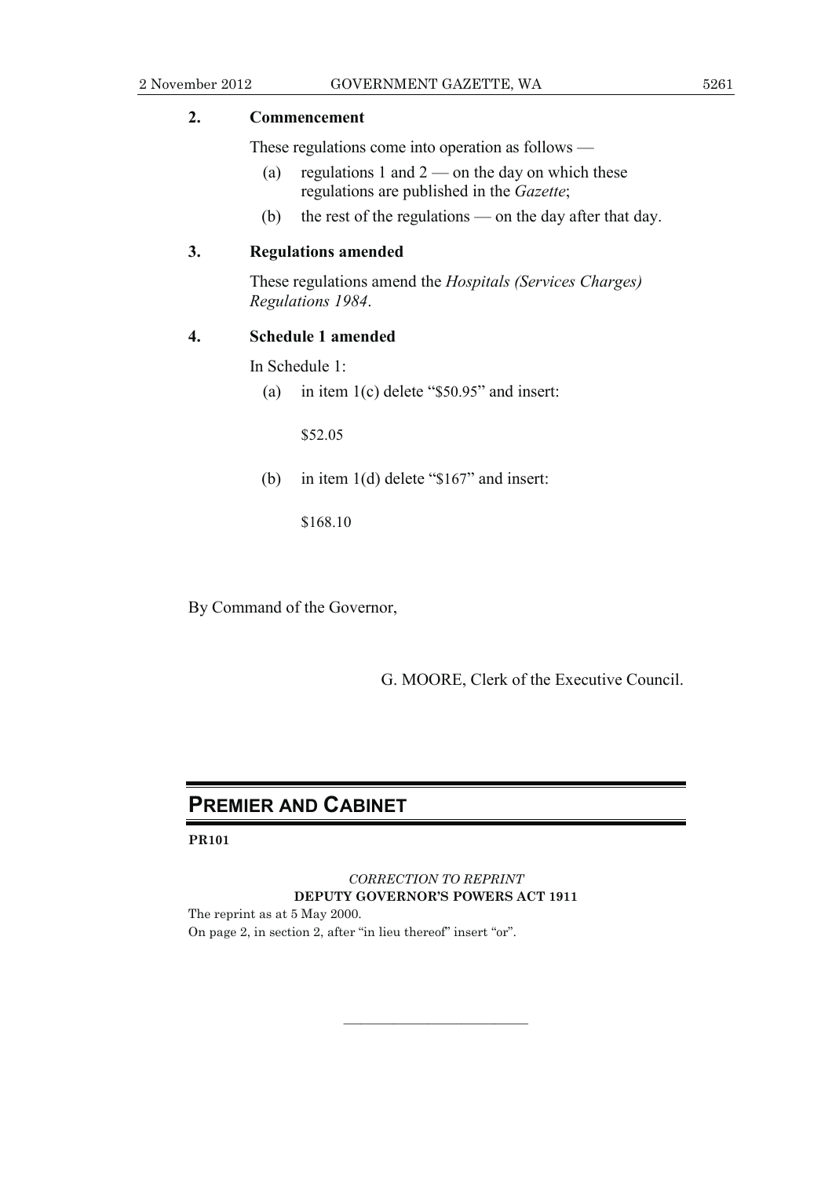## **2. Commencement**

These regulations come into operation as follows —

- (a) regulations 1 and  $2$  on the day on which these regulations are published in the *Gazette*;
- (b) the rest of the regulations on the day after that day.

## **3. Regulations amended**

 These regulations amend the *Hospitals (Services Charges) Regulations 1984*.

### **4. Schedule 1 amended**

In Schedule 1:

(a) in item 1(c) delete "\$50.95" and insert:

\$52.05

(b) in item 1(d) delete "\$167" and insert:

\$168.10

By Command of the Governor,

G. MOORE, Clerk of the Executive Council.

## **PREMIER AND CABINET**

**PR101** 

*CORRECTION TO REPRINT*  **DEPUTY GOVERNOR'S POWERS ACT 1911** 

———————————

The reprint as at 5 May 2000. On page 2, in section 2, after "in lieu thereof" insert "or".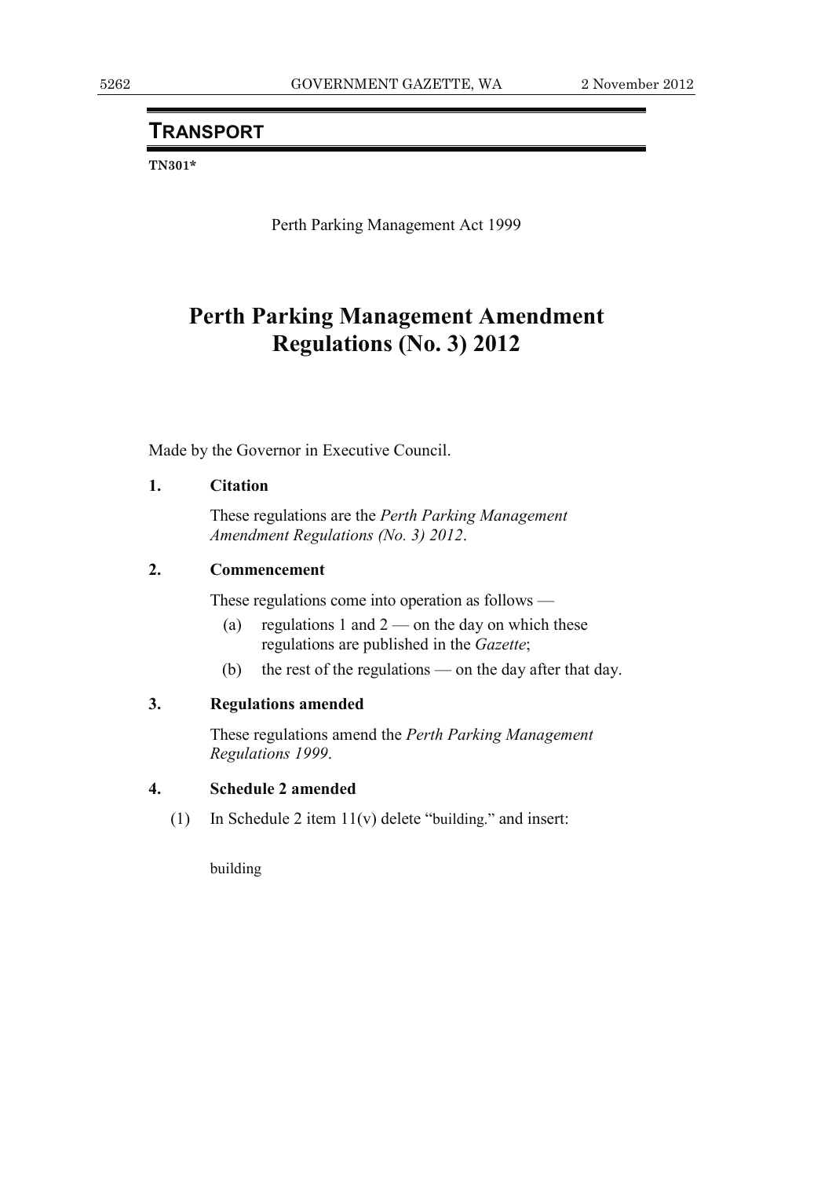## **TRANSPORT**

**TN301\*** 

Perth Parking Management Act 1999

## **Perth Parking Management Amendment Regulations (No. 3) 2012**

Made by the Governor in Executive Council.

## **1. Citation**

 These regulations are the *Perth Parking Management Amendment Regulations (No. 3) 2012*.

### **2. Commencement**

These regulations come into operation as follows —

- (a) regulations 1 and  $2$  on the day on which these regulations are published in the *Gazette*;
- (b) the rest of the regulations on the day after that day.

## **3. Regulations amended**

 These regulations amend the *Perth Parking Management Regulations 1999*.

## **4. Schedule 2 amended**

(1) In Schedule 2 item 11(v) delete "building." and insert:

building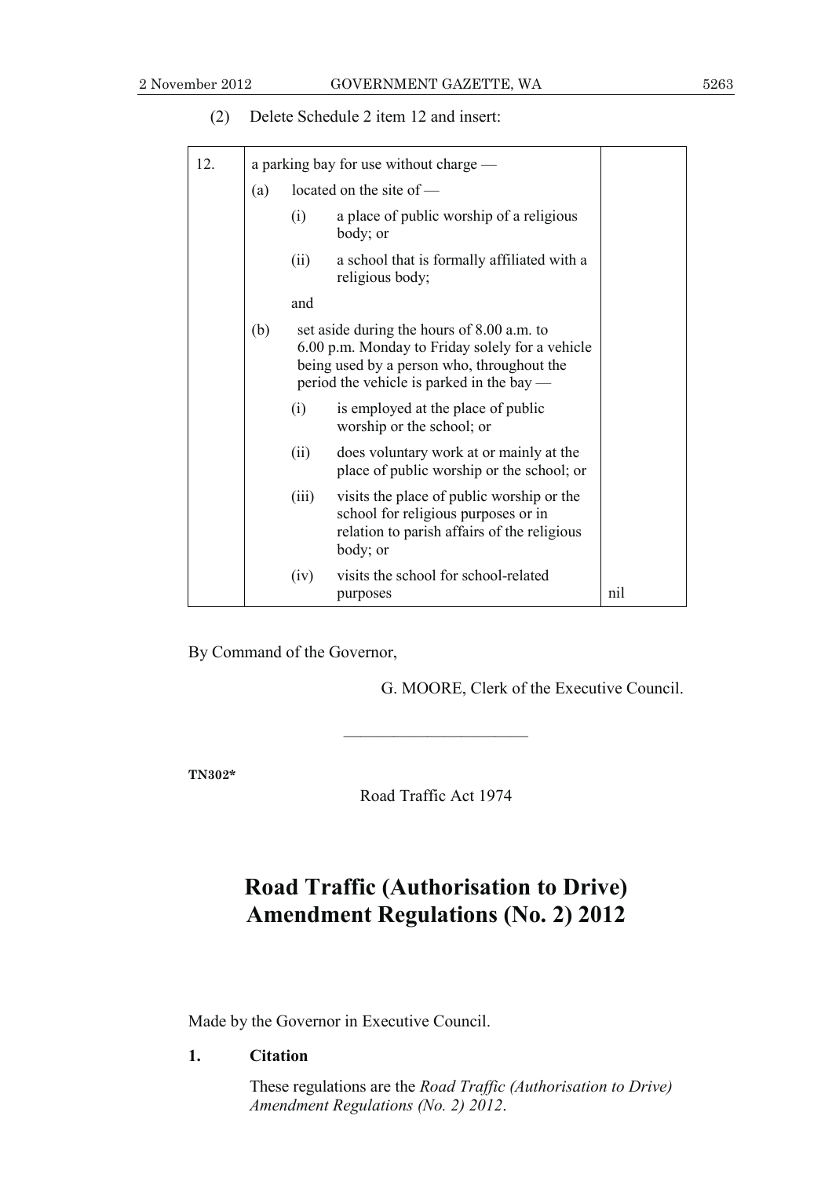| 12. | a parking bay for use without charge —                                                       |                                                                                                                                                                                          |                                                                                                                                             |     |  |
|-----|----------------------------------------------------------------------------------------------|------------------------------------------------------------------------------------------------------------------------------------------------------------------------------------------|---------------------------------------------------------------------------------------------------------------------------------------------|-----|--|
|     | (a)                                                                                          |                                                                                                                                                                                          | located on the site of -                                                                                                                    |     |  |
|     |                                                                                              | (i)                                                                                                                                                                                      | a place of public worship of a religious<br>body; or                                                                                        |     |  |
|     |                                                                                              | (ii)                                                                                                                                                                                     | a school that is formally affiliated with a<br>religious body;                                                                              |     |  |
|     |                                                                                              | and                                                                                                                                                                                      |                                                                                                                                             |     |  |
|     | (b)                                                                                          | set aside during the hours of 8.00 a.m. to<br>6.00 p.m. Monday to Friday solely for a vehicle<br>being used by a person who, throughout the<br>period the vehicle is parked in the bay — |                                                                                                                                             |     |  |
|     |                                                                                              | (i)                                                                                                                                                                                      | is employed at the place of public<br>worship or the school; or                                                                             |     |  |
|     | does voluntary work at or mainly at the<br>(ii)<br>place of public worship or the school; or |                                                                                                                                                                                          |                                                                                                                                             |     |  |
|     |                                                                                              | (iii)                                                                                                                                                                                    | visits the place of public worship or the<br>school for religious purposes or in<br>relation to parish affairs of the religious<br>body; or |     |  |
|     |                                                                                              | (iv)                                                                                                                                                                                     | visits the school for school-related<br>purposes                                                                                            | nil |  |

(2) Delete Schedule 2 item 12 and insert:

By Command of the Governor,

G. MOORE, Clerk of the Executive Council.

**TN302\*** 

Road Traffic Act 1974

———————————

## **Road Traffic (Authorisation to Drive) Amendment Regulations (No. 2) 2012**

Made by the Governor in Executive Council.

### **1. Citation**

 These regulations are the *Road Traffic (Authorisation to Drive) Amendment Regulations (No. 2) 2012*.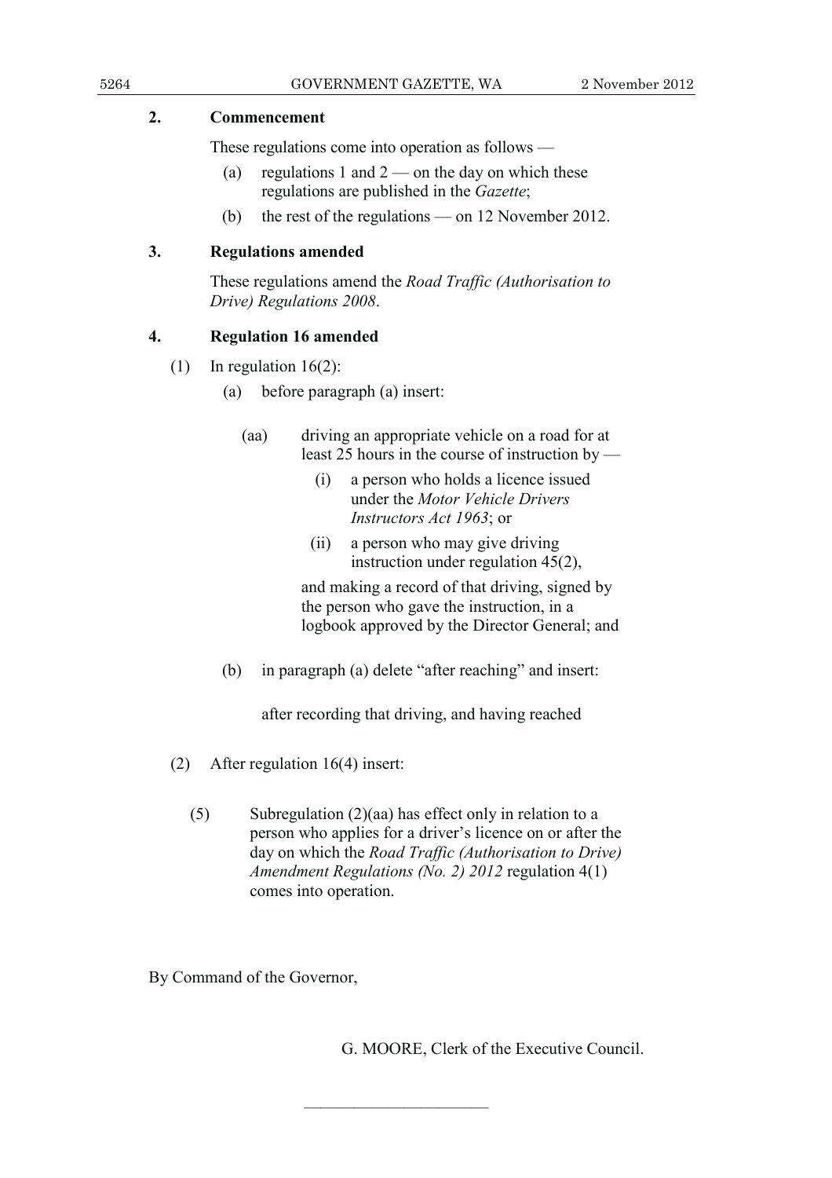## **2. Commencement**

These regulations come into operation as follows —

- (a) regulations 1 and  $2$  on the day on which these regulations are published in the *Gazette*;
- (b) the rest of the regulations on 12 November 2012.

## **3. Regulations amended**

 These regulations amend the *Road Traffic (Authorisation to Drive) Regulations 2008*.

## **4. Regulation 16 amended**

- (1) In regulation  $16(2)$ :
	- (a) before paragraph (a) insert:
		- (aa) driving an appropriate vehicle on a road for at least 25 hours in the course of instruction by —
			- (i) a person who holds a licence issued under the *Motor Vehicle Drivers Instructors Act 1963*; or
			- (ii) a person who may give driving instruction under regulation 45(2),

 and making a record of that driving, signed by the person who gave the instruction, in a logbook approved by the Director General; and

(b) in paragraph (a) delete "after reaching" and insert:

after recording that driving, and having reached

- (2) After regulation 16(4) insert:
	- (5) Subregulation (2)(aa) has effect only in relation to a person who applies for a driver's licence on or after the day on which the *Road Traffic (Authorisation to Drive) Amendment Regulations (No. 2) 2012* regulation 4(1) comes into operation.

———————————

By Command of the Governor,

G. MOORE, Clerk of the Executive Council.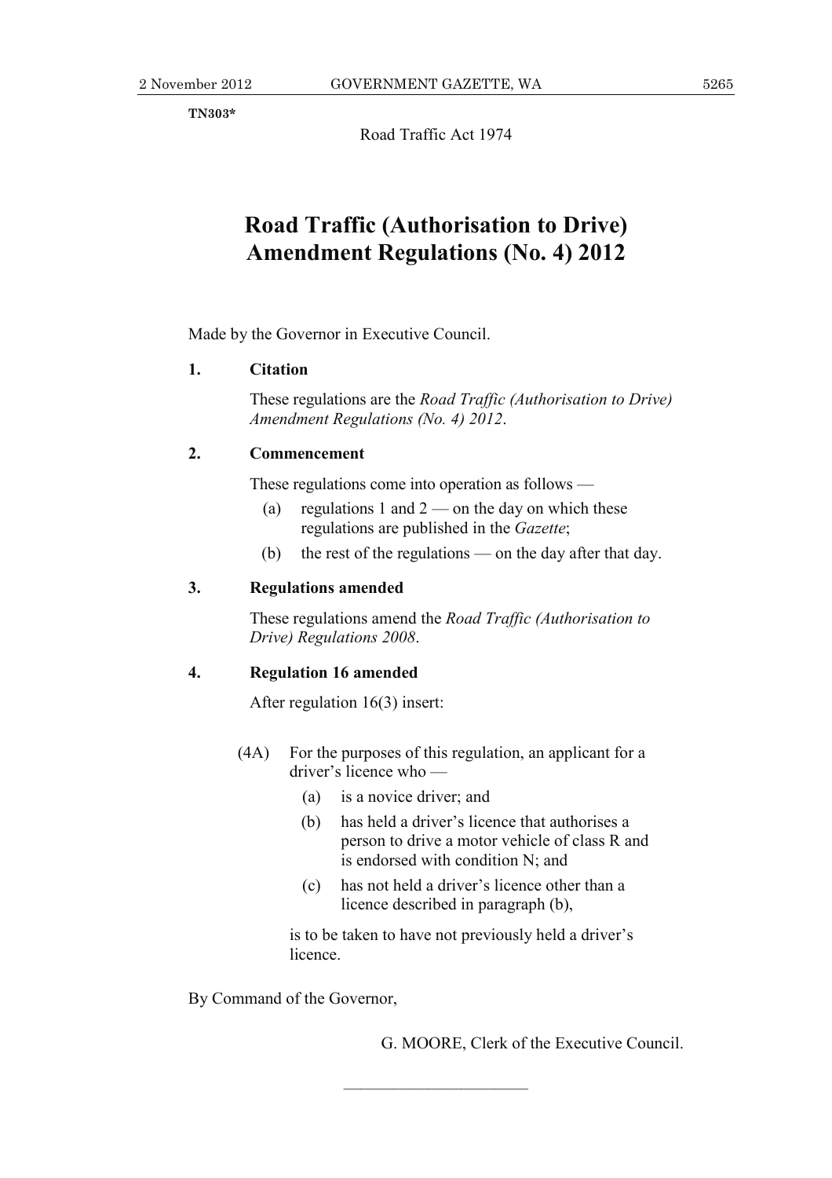**TN303\*** 

Road Traffic Act 1974

## **Road Traffic (Authorisation to Drive) Amendment Regulations (No. 4) 2012**

Made by the Governor in Executive Council.

### **1. Citation**

 These regulations are the *Road Traffic (Authorisation to Drive) Amendment Regulations (No. 4) 2012*.

## **2. Commencement**

These regulations come into operation as follows —

- (a) regulations 1 and  $2$  on the day on which these regulations are published in the *Gazette*;
- (b) the rest of the regulations on the day after that day.

## **3. Regulations amended**

 These regulations amend the *Road Traffic (Authorisation to Drive) Regulations 2008*.

## **4. Regulation 16 amended**

After regulation 16(3) insert:

- (4A) For the purposes of this regulation, an applicant for a driver's licence who —
	- (a) is a novice driver; and
	- (b) has held a driver's licence that authorises a person to drive a motor vehicle of class R and is endorsed with condition N; and
	- (c) has not held a driver's licence other than a licence described in paragraph (b),

 is to be taken to have not previously held a driver's licence.

———————————

By Command of the Governor,

G. MOORE, Clerk of the Executive Council.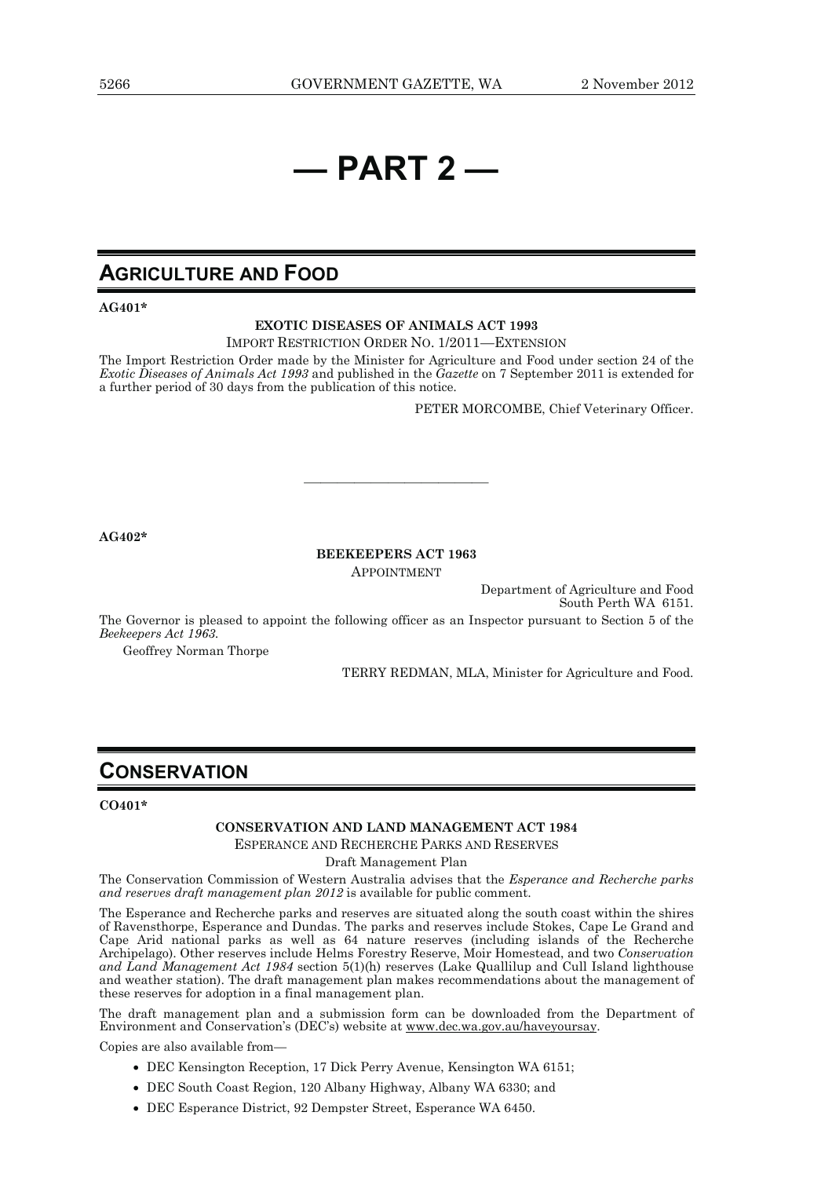## **— PART 2 —**

## **AGRICULTURE AND FOOD**

**AG401\*** 

#### **EXOTIC DISEASES OF ANIMALS ACT 1993**

IMPORT RESTRICTION ORDER NO. 1/2011—EXTENSION

The Import Restriction Order made by the Minister for Agriculture and Food under section 24 of the *Exotic Diseases of Animals Act 1993* and published in the *Gazette* on 7 September 2011 is extended for a further period of 30 days from the publication of this notice*.* 

PETER MORCOMBE, Chief Veterinary Officer.

**AG402\*** 

#### **BEEKEEPERS ACT 1963**

———————————

APPOINTMENT

Department of Agriculture and Food South Perth WA 6151.

The Governor is pleased to appoint the following officer as an Inspector pursuant to Section 5 of the *Beekeepers Act 1963.* 

Geoffrey Norman Thorpe

TERRY REDMAN, MLA, Minister for Agriculture and Food.

## **CONSERVATION**

#### **CO401\***

#### **CONSERVATION AND LAND MANAGEMENT ACT 1984**

ESPERANCE AND RECHERCHE PARKS AND RESERVES

Draft Management Plan

The Conservation Commission of Western Australia advises that the *Esperance and Recherche parks and reserves draft management plan 2012* is available for public comment.

The Esperance and Recherche parks and reserves are situated along the south coast within the shires of Ravensthorpe, Esperance and Dundas. The parks and reserves include Stokes, Cape Le Grand and Cape Arid national parks as well as 64 nature reserves (including islands of the Recherche Archipelago). Other reserves include Helms Forestry Reserve, Moir Homestead, and two *Conservation and Land Management Act 1984* section 5(1)(h) reserves (Lake Quallilup and Cull Island lighthouse and weather station). The draft management plan makes recommendations about the management of these reserves for adoption in a final management plan.

The draft management plan and a submission form can be downloaded from the Department of Environment and Conservation's (DEC's) website at www.dec.wa.gov.au/haveyoursay.

Copies are also available from—

- DEC Kensington Reception, 17 Dick Perry Avenue, Kensington WA 6151;
- DEC South Coast Region, 120 Albany Highway, Albany WA 6330; and
- DEC Esperance District, 92 Dempster Street, Esperance WA 6450.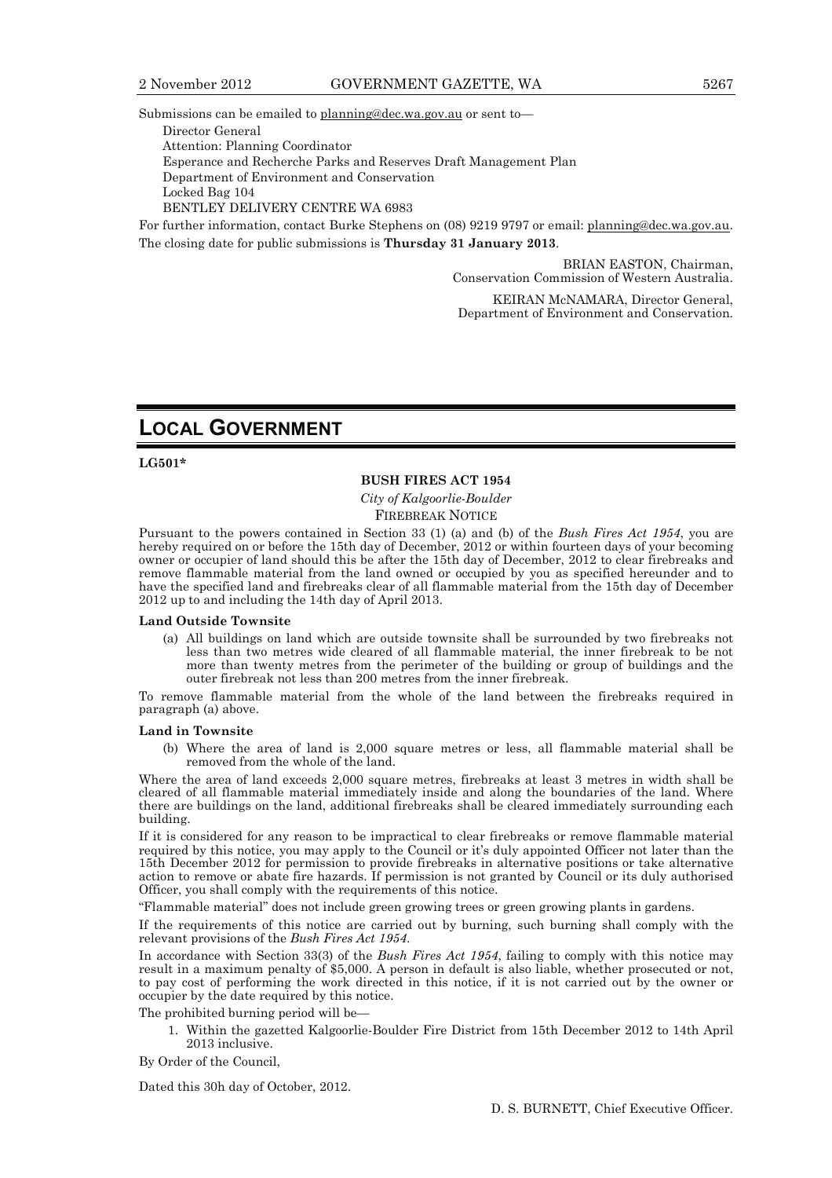Submissions can be emailed to planning@dec.wa.gov.au or sent to—

Director General

Attention: Planning Coordinator

Esperance and Recherche Parks and Reserves Draft Management Plan

Department of Environment and Conservation

Locked Bag 104

BENTLEY DELIVERY CENTRE WA 6983

For further information, contact Burke Stephens on (08) 9219 9797 or email: planning@dec.wa.gov.au. The closing date for public submissions is **Thursday 31 January 2013**.

> BRIAN EASTON, Chairman, Conservation Commission of Western Australia.

KEIRAN McNAMARA, Director General, Department of Environment and Conservation.

## **LOCAL GOVERNMENT**

**LG501\*** 

#### **BUSH FIRES ACT 1954**

*City of Kalgoorlie-Boulder*  FIREBREAK NOTICE

Pursuant to the powers contained in Section 33 (1) (a) and (b) of the *Bush Fires Act 1954*, you are hereby required on or before the 15th day of December, 2012 or within fourteen days of your becoming owner or occupier of land should this be after the 15th day of December, 2012 to clear firebreaks and remove flammable material from the land owned or occupied by you as specified hereunder and to have the specified land and firebreaks clear of all flammable material from the 15th day of December 2012 up to and including the 14th day of April 2013.

#### **Land Outside Townsite**

 (a) All buildings on land which are outside townsite shall be surrounded by two firebreaks not less than two metres wide cleared of all flammable material, the inner firebreak to be not more than twenty metres from the perimeter of the building or group of buildings and the outer firebreak not less than 200 metres from the inner firebreak.

To remove flammable material from the whole of the land between the firebreaks required in paragraph (a) above.

#### **Land in Townsite**

 (b) Where the area of land is 2,000 square metres or less, all flammable material shall be removed from the whole of the land.

Where the area of land exceeds 2,000 square metres, firebreaks at least 3 metres in width shall be cleared of all flammable material immediately inside and along the boundaries of the land. Where there are buildings on the land, additional firebreaks shall be cleared immediately surrounding each building.

If it is considered for any reason to be impractical to clear firebreaks or remove flammable material required by this notice, you may apply to the Council or it's duly appointed Officer not later than the 15th December 2012 for permission to provide firebreaks in alternative positions or take alternative action to remove or abate fire hazards. If permission is not granted by Council or its duly authorised Officer, you shall comply with the requirements of this notice.

"Flammable material" does not include green growing trees or green growing plants in gardens.

If the requirements of this notice are carried out by burning, such burning shall comply with the relevant provisions of the *Bush Fires Act 1954*.

In accordance with Section 33(3) of the *Bush Fires Act 1954*, failing to comply with this notice may result in a maximum penalty of \$5,000. A person in default is also liable, whether prosecuted or not, to pay cost of performing the work directed in this notice, if it is not carried out by the owner or occupier by the date required by this notice.

The prohibited burning period will be—

 1. Within the gazetted Kalgoorlie-Boulder Fire District from 15th December 2012 to 14th April 2013 inclusive.

By Order of the Council,

Dated this 30h day of October, 2012.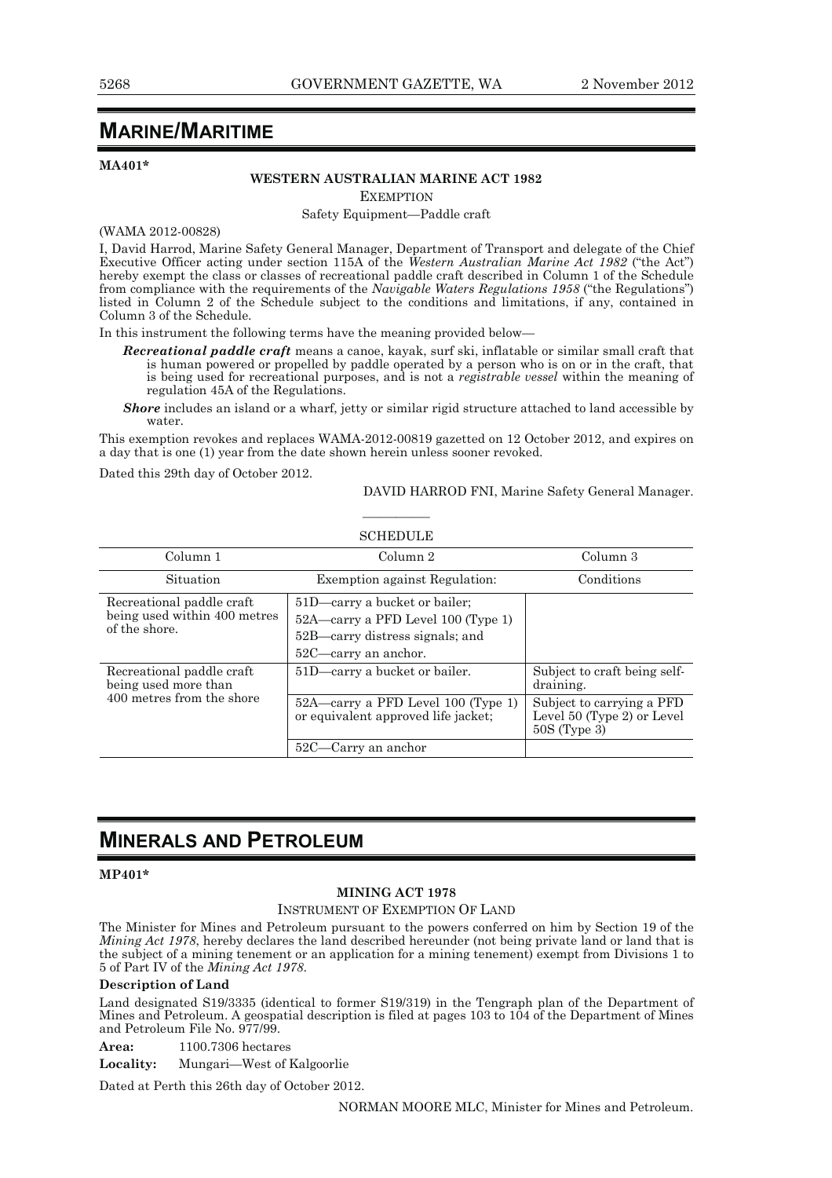## **MARINE/MARITIME**

**MA401\*** 

## **WESTERN AUSTRALIAN MARINE ACT 1982**

**EXEMPTION** 

Safety Equipment—Paddle craft

(WAMA 2012-00828)

I, David Harrod, Marine Safety General Manager, Department of Transport and delegate of the Chief Executive Officer acting under section 115A of the *Western Australian Marine Act 1982* ("the Act") hereby exempt the class or classes of recreational paddle craft described in Column 1 of the Schedule from compliance with the requirements of the *Navigable Waters Regulations 1958* ("the Regulations") listed in Column 2 of the Schedule subject to the conditions and limitations, if any, contained in Column 3 of the Schedule.

In this instrument the following terms have the meaning provided below—

- *Recreational paddle craft* means a canoe, kayak, surf ski, inflatable or similar small craft that is human powered or propelled by paddle operated by a person who is on or in the craft, that is being used for recreational purposes, and is not a *registrable vessel* within the meaning of regulation 45A of the Regulations.
- **Shore** includes an island or a wharf, jetty or similar rigid structure attached to land accessible by water.

This exemption revokes and replaces WAMA-2012-00819 gazetted on 12 October 2012, and expires on a day that is one (1) year from the date shown herein unless sooner revoked.

————

Dated this 29th day of October 2012.

DAVID HARROD FNI, Marine Safety General Manager.

| <b>SCHEDULE</b>                                                            |                                                                                                                                |                                                                           |  |  |
|----------------------------------------------------------------------------|--------------------------------------------------------------------------------------------------------------------------------|---------------------------------------------------------------------------|--|--|
| Column 1                                                                   | Column 2                                                                                                                       | Column 3                                                                  |  |  |
| Situation                                                                  | Exemption against Regulation:                                                                                                  | Conditions                                                                |  |  |
| Recreational paddle craft<br>being used within 400 metres<br>of the shore. | 51D—carry a bucket or bailer;<br>52A—carry a PFD Level 100 (Type 1)<br>52B—carry distress signals; and<br>52C—carry an anchor. |                                                                           |  |  |
| Recreational paddle craft<br>being used more than                          | 51D—carry a bucket or bailer.                                                                                                  | Subject to craft being self-<br>draining.                                 |  |  |
| 400 metres from the shore                                                  | $52A$ —carry a PFD Level 100 (Type 1)<br>or equivalent approved life jacket;                                                   | Subject to carrying a PFD<br>Level 50 (Type 2) or Level<br>$50S$ (Type 3) |  |  |
|                                                                            | 52C—Carry an anchor                                                                                                            |                                                                           |  |  |

## **MINERALS AND PETROLEUM**

#### **MP401\***

#### **MINING ACT 1978**

INSTRUMENT OF EXEMPTION OF LAND

The Minister for Mines and Petroleum pursuant to the powers conferred on him by Section 19 of the *Mining Act 1978*, hereby declares the land described hereunder (not being private land or land that is the subject of a mining tenement or an application for a mining tenement) exempt from Divisions 1 to 5 of Part IV of the *Mining Act 1978*.

#### **Description of Land**

Land designated S19/3335 (identical to former S19/319) in the Tengraph plan of the Department of Mines and Petroleum. A geospatial description is filed at pages 103 to 104 of the Department of Mines and Petroleum File No. 977/99.

**Area:** 1100.7306 hectares

**Locality:** Mungari—West of Kalgoorlie

Dated at Perth this 26th day of October 2012.

NORMAN MOORE MLC, Minister for Mines and Petroleum.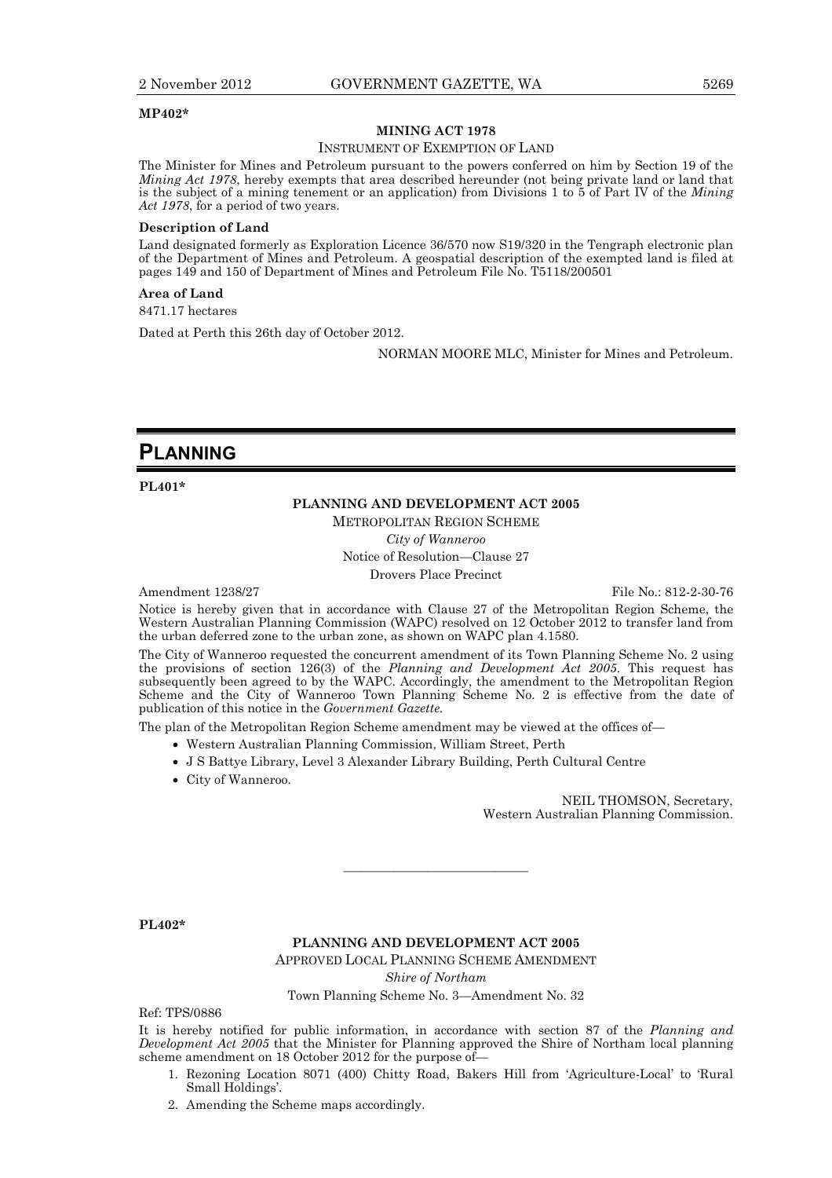#### **MP402\***

#### **MINING ACT 1978**

#### INSTRUMENT OF EXEMPTION OF LAND

The Minister for Mines and Petroleum pursuant to the powers conferred on him by Section 19 of the *Mining Act 1978*, hereby exempts that area described hereunder (not being private land or land that is the subject of a mining tenement or an application) from Divisions 1 to 5 of Part IV of the *Mining Act 1978*, for a period of two years.

#### **Description of Land**

Land designated formerly as Exploration Licence 36/570 now S19/320 in the Tengraph electronic plan of the Department of Mines and Petroleum. A geospatial description of the exempted land is filed at pages 149 and 150 of Department of Mines and Petroleum File No. T5118/200501

#### **Area of Land**

8471.17 hectares

Dated at Perth this 26th day of October 2012.

NORMAN MOORE MLC, Minister for Mines and Petroleum.

## **PLANNING**

**PL401\*** 

### **PLANNING AND DEVELOPMENT ACT 2005**

METROPOLITAN REGION SCHEME

*City of Wanneroo*  Notice of Resolution—Clause 27 Drovers Place Precinct

Amendment 1238/27 File No.: 812-2-30-76

Notice is hereby given that in accordance with Clause 27 of the Metropolitan Region Scheme, the Western Australian Planning Commission (WAPC) resolved on 12 October 2012 to transfer land from the urban deferred zone to the urban zone, as shown on WAPC plan 4.1580.

The City of Wanneroo requested the concurrent amendment of its Town Planning Scheme No. 2 using the provisions of section 126(3) of the *Planning and Development Act 2005*. This request has subsequently been agreed to by the WAPC. Accordingly, the amendment to the Metropolitan Region Scheme and the City of Wanneroo Town Planning Scheme No. 2 is effective from the date of publication of this notice in the *Government Gazette.* 

The plan of the Metropolitan Region Scheme amendment may be viewed at the offices of—

- Western Australian Planning Commission, William Street, Perth
- J S Battye Library, Level 3 Alexander Library Building, Perth Cultural Centre
- City of Wanneroo.

NEIL THOMSON, Secretary, Western Australian Planning Commission.

**PL402\*** 

#### **PLANNING AND DEVELOPMENT ACT 2005**

———————————

APPROVED LOCAL PLANNING SCHEME AMENDMENT

*Shire of Northam* 

Town Planning Scheme No. 3—Amendment No. 32

Ref: TPS/0886

It is hereby notified for public information, in accordance with section 87 of the *Planning and Development Act 2005* that the Minister for Planning approved the Shire of Northam local planning scheme amendment on 18 October 2012 for the purpose of—

- 1. Rezoning Location 8071 (400) Chitty Road, Bakers Hill from 'Agriculture-Local' to 'Rural Small Holdings'.
- 2. Amending the Scheme maps accordingly.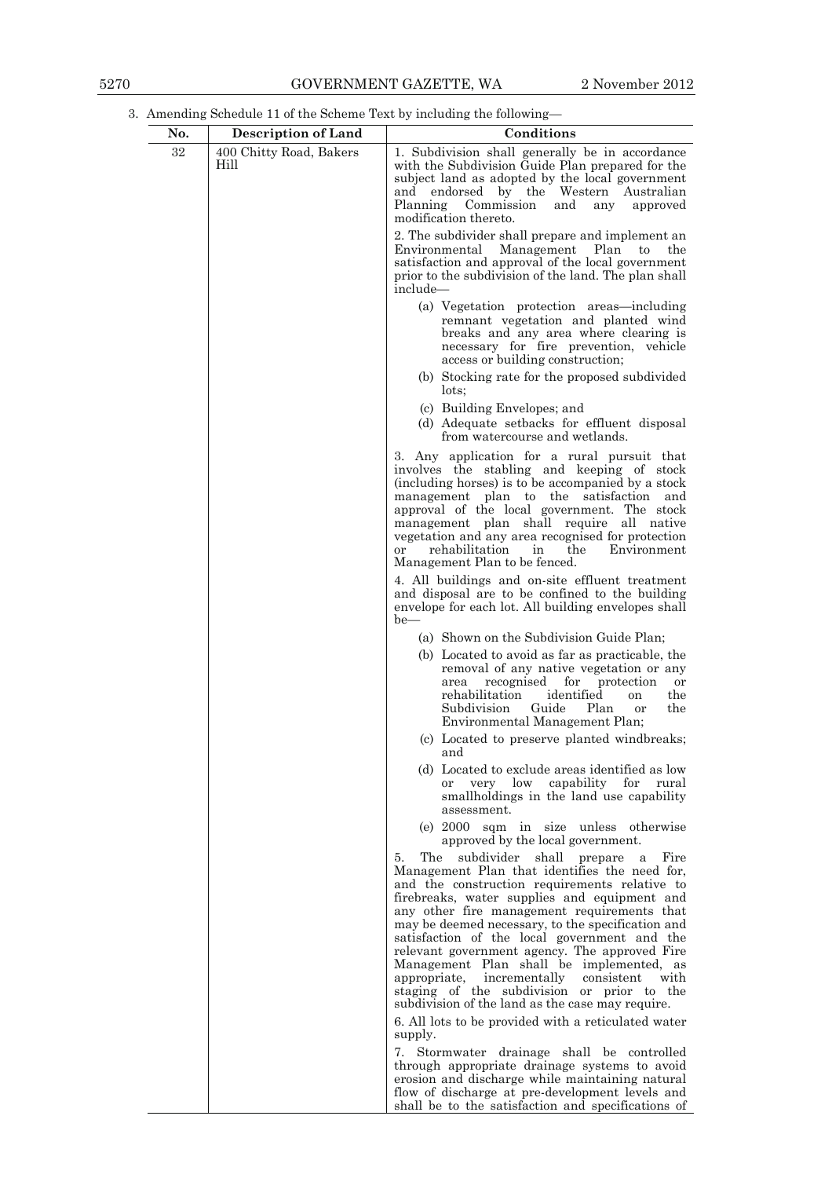3. Amending Schedule 11 of the Scheme Text by including the following—

| No. | <b>Description of Land</b>      | Conditions                                                                                                                                                                                                                                                                                                                                                                                                                                                                                                                                                                                                     |  |  |
|-----|---------------------------------|----------------------------------------------------------------------------------------------------------------------------------------------------------------------------------------------------------------------------------------------------------------------------------------------------------------------------------------------------------------------------------------------------------------------------------------------------------------------------------------------------------------------------------------------------------------------------------------------------------------|--|--|
| 32  | 400 Chitty Road, Bakers<br>Hill | 1. Subdivision shall generally be in accordance<br>with the Subdivision Guide Plan prepared for the<br>subject land as adopted by the local government<br>endorsed by the Western Australian<br>and<br>Planning Commission<br>and<br>any<br>approved<br>modification thereto.                                                                                                                                                                                                                                                                                                                                  |  |  |
|     |                                 | 2. The subdivider shall prepare and implement an<br>Environmental Management Plan to<br>the<br>satisfaction and approval of the local government<br>prior to the subdivision of the land. The plan shall<br>include—                                                                                                                                                                                                                                                                                                                                                                                           |  |  |
|     |                                 | (a) Vegetation protection areas—including<br>remnant vegetation and planted wind<br>breaks and any area where clearing is<br>necessary for fire prevention, vehicle<br>access or building construction;                                                                                                                                                                                                                                                                                                                                                                                                        |  |  |
|     |                                 | (b) Stocking rate for the proposed subdivided<br>lots;                                                                                                                                                                                                                                                                                                                                                                                                                                                                                                                                                         |  |  |
|     |                                 | (c) Building Envelopes; and<br>(d) Adequate setbacks for effluent disposal<br>from watercourse and wetlands.                                                                                                                                                                                                                                                                                                                                                                                                                                                                                                   |  |  |
|     |                                 | 3. Any application for a rural pursuit that<br>involves the stabling and keeping of stock<br>(including horses) is to be accompanied by a stock<br>management plan to the satisfaction<br>and<br>approval of the local government. The stock<br>management plan shall require all native<br>vegetation and any area recognised for protection<br>Environment<br>rehabilitation<br>the<br><b>or</b><br>in<br>Management Plan to be fenced.                                                                                                                                                                      |  |  |
|     |                                 | 4. All buildings and on-site effluent treatment<br>and disposal are to be confined to the building<br>envelope for each lot. All building envelopes shall<br>$be$ —                                                                                                                                                                                                                                                                                                                                                                                                                                            |  |  |
|     |                                 | (a) Shown on the Subdivision Guide Plan;                                                                                                                                                                                                                                                                                                                                                                                                                                                                                                                                                                       |  |  |
|     |                                 | (b) Located to avoid as far as practicable, the<br>removal of any native vegetation or any<br>area recognised<br>for protection<br>or<br>rehabilitation<br>identified<br>the<br><sub>on</sub><br>Guide<br>Subdivision<br>Plan<br>the<br>or<br>Environmental Management Plan;                                                                                                                                                                                                                                                                                                                                   |  |  |
|     |                                 | (c) Located to preserve planted windbreaks;<br>and                                                                                                                                                                                                                                                                                                                                                                                                                                                                                                                                                             |  |  |
|     |                                 | (d) Located to exclude areas identified as low<br>very low capability for<br>rural<br><sub>or</sub><br>smallholdings in the land use capability<br>assessment.                                                                                                                                                                                                                                                                                                                                                                                                                                                 |  |  |
|     |                                 | (e) 2000 sqm in size unless otherwise<br>approved by the local government.                                                                                                                                                                                                                                                                                                                                                                                                                                                                                                                                     |  |  |
|     |                                 | The<br>subdivider<br>5.<br>shall prepare a<br>Fire<br>Management Plan that identifies the need for,<br>and the construction requirements relative to<br>firebreaks, water supplies and equipment and<br>any other fire management requirements that<br>may be deemed necessary, to the specification and<br>satisfaction of the local government and the<br>relevant government agency. The approved Fire<br>Management Plan shall be implemented, as<br>appropriate,<br>incrementally<br>consistent<br>with<br>staging of the subdivision or prior to the<br>subdivision of the land as the case may require. |  |  |
|     |                                 | 6. All lots to be provided with a reticulated water<br>supply.                                                                                                                                                                                                                                                                                                                                                                                                                                                                                                                                                 |  |  |
|     |                                 | 7. Stormwater drainage shall be controlled<br>through appropriate drainage systems to avoid<br>erosion and discharge while maintaining natural<br>flow of discharge at pre-development levels and<br>shall be to the satisfaction and specifications of                                                                                                                                                                                                                                                                                                                                                        |  |  |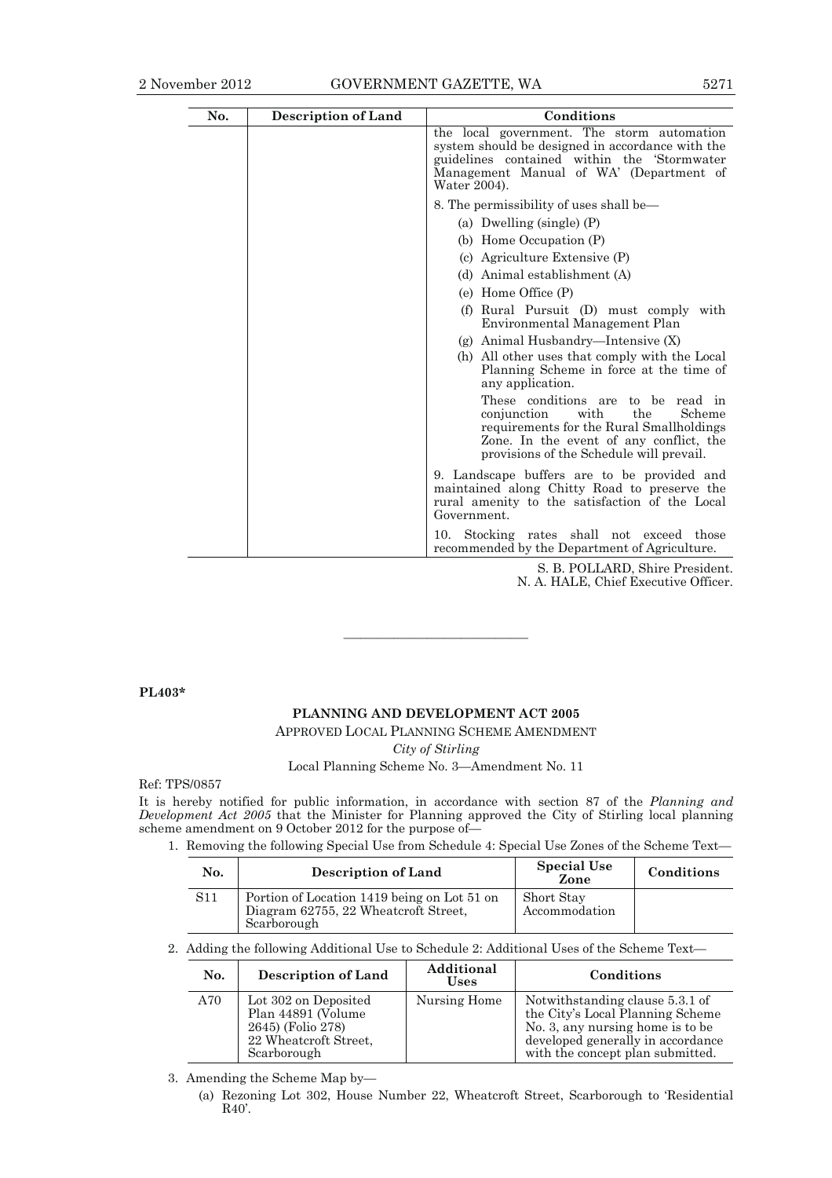| No. | <b>Description of Land</b> | Conditions                                                                                                                                                                                                       |  |  |  |
|-----|----------------------------|------------------------------------------------------------------------------------------------------------------------------------------------------------------------------------------------------------------|--|--|--|
|     |                            | the local government. The storm automation<br>system should be designed in accordance with the<br>guidelines contained within the Stormwater<br>Management Manual of WA' (Department of<br>Water 2004).          |  |  |  |
|     |                            | 8. The permissibility of uses shall be—                                                                                                                                                                          |  |  |  |
|     |                            | (a) Dwelling (single) $(P)$                                                                                                                                                                                      |  |  |  |
|     |                            | (b) Home Occupation (P)                                                                                                                                                                                          |  |  |  |
|     |                            | (c) Agriculture Extensive (P)                                                                                                                                                                                    |  |  |  |
|     |                            | (d) Animal establishment (A)                                                                                                                                                                                     |  |  |  |
|     |                            | (e) Home Office (P)                                                                                                                                                                                              |  |  |  |
|     |                            | (f) Rural Pursuit (D) must comply with<br>Environmental Management Plan                                                                                                                                          |  |  |  |
|     |                            | $(g)$ Animal Husbandry—Intensive $(X)$                                                                                                                                                                           |  |  |  |
|     |                            | (h) All other uses that comply with the Local<br>Planning Scheme in force at the time of<br>any application.                                                                                                     |  |  |  |
|     |                            | These conditions are to be<br>read in<br>the<br>conjunction<br>with<br>Scheme<br>requirements for the Rural Smallholdings<br>Zone. In the event of any conflict, the<br>provisions of the Schedule will prevail. |  |  |  |
|     |                            | 9. Landscape buffers are to be provided and<br>maintained along Chitty Road to preserve the<br>rural amenity to the satisfaction of the Local<br>Government.                                                     |  |  |  |
|     |                            | Stocking rates shall not exceed those<br>10.<br>recommended by the Department of Agriculture.                                                                                                                    |  |  |  |

S. B. POLLARD, Shire President. N. A. HALE, Chief Executive Officer.

**PL403\*** 

#### **PLANNING AND DEVELOPMENT ACT 2005**  APPROVED LOCAL PLANNING SCHEME AMENDMENT

———————————

*City of Stirling* 

Local Planning Scheme No. 3—Amendment No. 11

Ref: TPS/0857

It is hereby notified for public information, in accordance with section 87 of the *Planning and Development Act 2005* that the Minister for Planning approved the City of Stirling local planning scheme amendment on 9 October 2012 for the purpose of—

1. Removing the following Special Use from Schedule 4: Special Use Zones of the Scheme Text—

| No.        | <b>Description of Land</b>                                                                         | <b>Special Use</b><br>Zone  | Conditions |
|------------|----------------------------------------------------------------------------------------------------|-----------------------------|------------|
| <b>S11</b> | Portion of Location 1419 being on Lot 51 on<br>Diagram 62755, 22 Wheatcroft Street,<br>Scarborough | Short Stay<br>Accommodation |            |

2. Adding the following Additional Use to Schedule 2: Additional Uses of the Scheme Text—

| No. | <b>Description of Land</b>                                                                              | Additional<br><b>Uses</b> | Conditions                                                                                                                                                                       |
|-----|---------------------------------------------------------------------------------------------------------|---------------------------|----------------------------------------------------------------------------------------------------------------------------------------------------------------------------------|
| A70 | Lot 302 on Deposited<br>Plan 44891 (Volume<br>2645) (Folio 278)<br>22 Wheatcroft Street,<br>Scarborough | Nursing Home              | Notwithstanding clause 5.3.1 of<br>the City's Local Planning Scheme<br>No. 3, any nursing home is to be<br>developed generally in accordance<br>with the concept plan submitted. |

3. Amending the Scheme Map by—

 (a) Rezoning Lot 302, House Number 22, Wheatcroft Street, Scarborough to 'Residential R40'.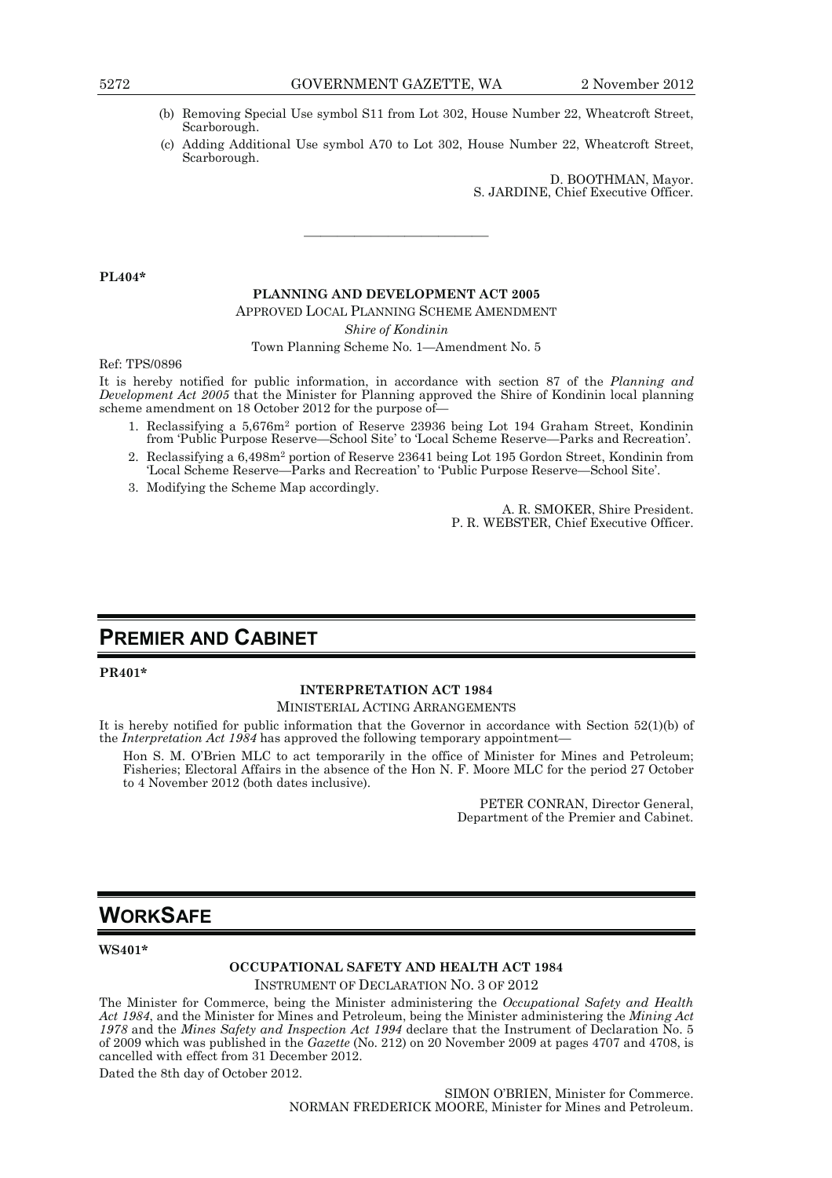- (b) Removing Special Use symbol S11 from Lot 302, House Number 22, Wheatcroft Street, Scarborough.
- (c) Adding Additional Use symbol A70 to Lot 302, House Number 22, Wheatcroft Street, Scarborough.

D. BOOTHMAN, Mayor. S. JARDINE, Chief Executive Officer.

**PL404\*** 

#### **PLANNING AND DEVELOPMENT ACT 2005**

———————————

APPROVED LOCAL PLANNING SCHEME AMENDMENT

*Shire of Kondinin* 

Town Planning Scheme No. 1—Amendment No. 5

Ref: TPS/0896

It is hereby notified for public information, in accordance with section 87 of the *Planning and Development Act 2005* that the Minister for Planning approved the Shire of Kondinin local planning scheme amendment on 18 October 2012 for the purpose of-

- 1. Reclassifying a 5,676m2 portion of Reserve 23936 being Lot 194 Graham Street, Kondinin from 'Public Purpose Reserve—School Site' to 'Local Scheme Reserve—Parks and Recreation'.
- 2. Reclassifying a 6,498m2 portion of Reserve 23641 being Lot 195 Gordon Street, Kondinin from 'Local Scheme Reserve—Parks and Recreation' to 'Public Purpose Reserve—School Site'.
- 3. Modifying the Scheme Map accordingly.

A. R. SMOKER, Shire President. P. R. WEBSTER, Chief Executive Officer.

## **PREMIER AND CABINET**

#### **PR401\***

#### **INTERPRETATION ACT 1984**

MINISTERIAL ACTING ARRANGEMENTS

It is hereby notified for public information that the Governor in accordance with Section 52(1)(b) of the *Interpretation Act 1984* has approved the following temporary appointment—

Hon S. M. O'Brien MLC to act temporarily in the office of Minister for Mines and Petroleum; Fisheries; Electoral Affairs in the absence of the Hon N. F. Moore MLC for the period 27 October to 4 November 2012 (both dates inclusive).

> PETER CONRAN, Director General, Department of the Premier and Cabinet.

## **WORKSAFE**

#### **WS401\***

## **OCCUPATIONAL SAFETY AND HEALTH ACT 1984**

INSTRUMENT OF DECLARATION NO. 3 OF 2012

The Minister for Commerce, being the Minister administering the *Occupational Safety and Health Act 1984*, and the Minister for Mines and Petroleum, being the Minister administering the *Mining Act 1978* and the *Mines Safety and Inspection Act 1994* declare that the Instrument of Declaration No. 5 of 2009 which was published in the *Gazette* (No. 212) on 20 November 2009 at pages 4707 and 4708, is cancelled with effect from 31 December 2012.

Dated the 8th day of October 2012.

SIMON O'BRIEN, Minister for Commerce. NORMAN FREDERICK MOORE, Minister for Mines and Petroleum.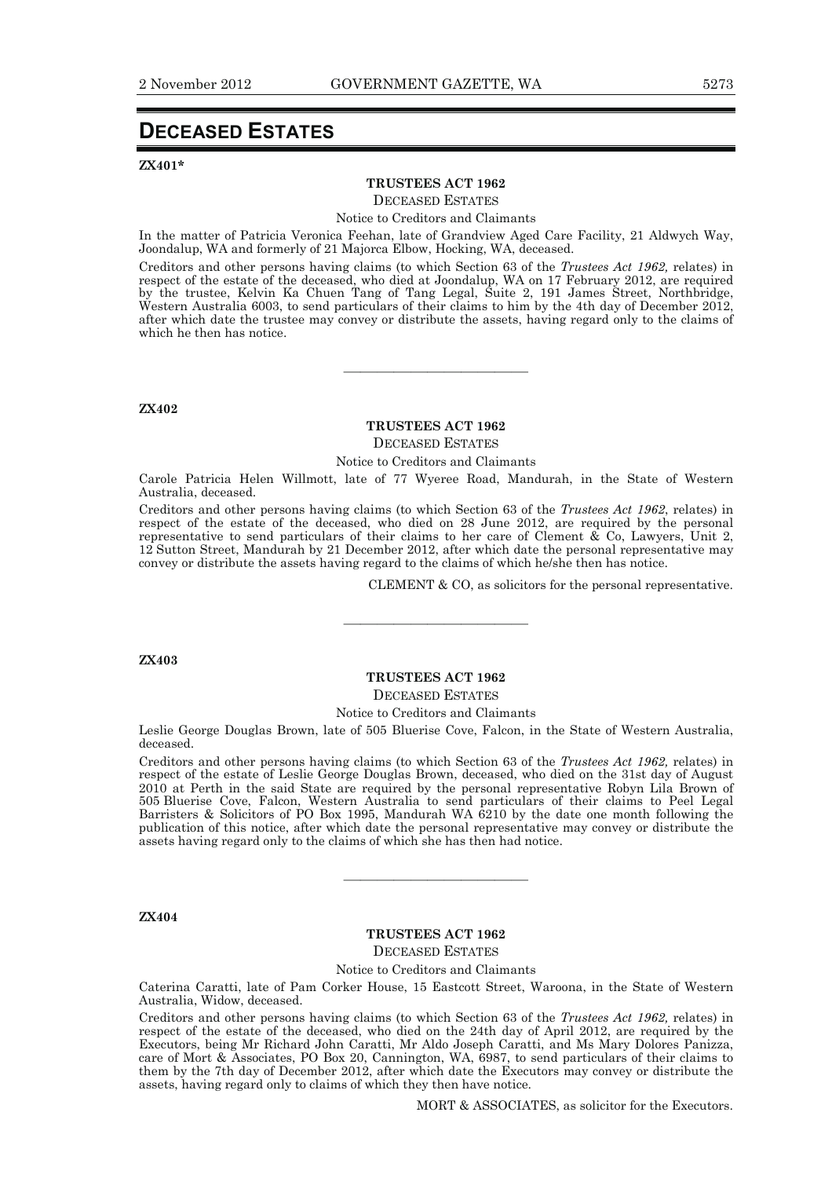## **DECEASED ESTATES**

#### **ZX401\***

#### **TRUSTEES ACT 1962**

DECEASED ESTATES

Notice to Creditors and Claimants

In the matter of Patricia Veronica Feehan, late of Grandview Aged Care Facility, 21 Aldwych Way, Joondalup, WA and formerly of 21 Majorca Elbow, Hocking, WA, deceased.

Creditors and other persons having claims (to which Section 63 of the *Trustees Act 1962,* relates) in respect of the estate of the deceased, who died at Joondalup, WA on 17 February 2012, are required by the trustee, Kelvin Ka Chuen Tang of Tang Legal, Suite 2, 191 James Street, Northbridge, Western Australia 6003, to send particulars of their claims to him by the 4th day of December 2012, after which date the trustee may convey or distribute the assets, having regard only to the claims of which he then has notice.

**ZX402** 

#### **TRUSTEES ACT 1962**  DECEASED ESTATES

———————————

Notice to Creditors and Claimants

Carole Patricia Helen Willmott, late of 77 Wyeree Road, Mandurah, in the State of Western Australia, deceased.

Creditors and other persons having claims (to which Section 63 of the *Trustees Act 1962*, relates) in respect of the estate of the deceased, who died on 28 June 2012, are required by the personal representative to send particulars of their claims to her care of Clement  $\&$  Co, Lawyers, Unit 2, 12 Sutton Street, Mandurah by 21 December 2012, after which date the personal representative may convey or distribute the assets having regard to the claims of which he/she then has notice.

CLEMENT & CO, as solicitors for the personal representative.

**ZX403** 

#### **TRUSTEES ACT 1962**  DECEASED ESTATES

———————————

Notice to Creditors and Claimants

Leslie George Douglas Brown, late of 505 Bluerise Cove, Falcon, in the State of Western Australia, deceased.

Creditors and other persons having claims (to which Section 63 of the *Trustees Act 1962,* relates) in respect of the estate of Leslie George Douglas Brown, deceased, who died on the 31st day of August 2010 at Perth in the said State are required by the personal representative Robyn Lila Brown of 505 Bluerise Cove, Falcon, Western Australia to send particulars of their claims to Peel Legal Barristers & Solicitors of PO Box 1995, Mandurah WA 6210 by the date one month following the publication of this notice, after which date the personal representative may convey or distribute the assets having regard only to the claims of which she has then had notice.

#### **ZX404**

#### **TRUSTEES ACT 1962**

———————————

DECEASED ESTATES

Notice to Creditors and Claimants

Caterina Caratti, late of Pam Corker House, 15 Eastcott Street, Waroona, in the State of Western Australia, Widow, deceased.

Creditors and other persons having claims (to which Section 63 of the *Trustees Act 1962,* relates) in respect of the estate of the deceased, who died on the 24th day of April 2012, are required by the Executors, being Mr Richard John Caratti, Mr Aldo Joseph Caratti, and Ms Mary Dolores Panizza, care of Mort & Associates, PO Box 20, Cannington, WA, 6987, to send particulars of their claims to them by the 7th day of December 2012, after which date the Executors may convey or distribute the assets, having regard only to claims of which they then have notice.

MORT & ASSOCIATES, as solicitor for the Executors.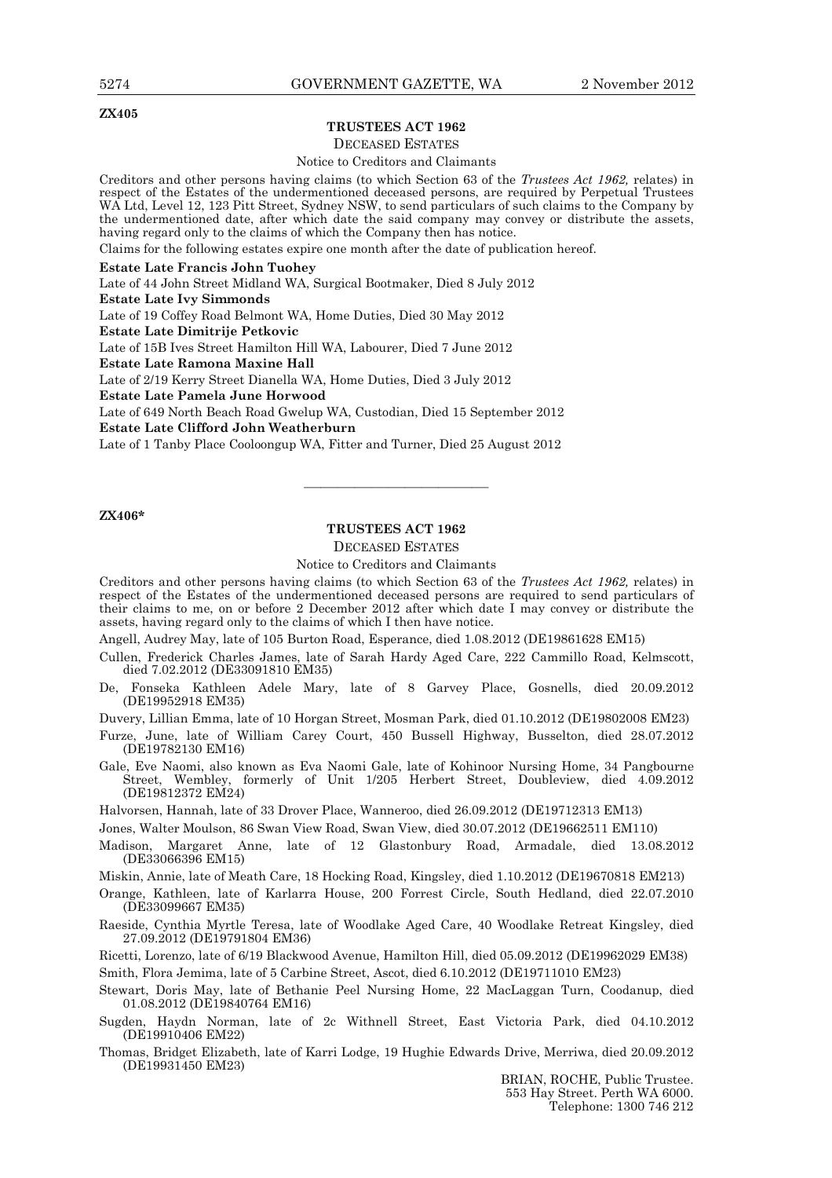**ZX405** 

#### **TRUSTEES ACT 1962**

DECEASED ESTATES

Notice to Creditors and Claimants

Creditors and other persons having claims (to which Section 63 of the *Trustees Act 1962,* relates) in respect of the Estates of the undermentioned deceased persons, are required by Perpetual Trustees WA Ltd, Level 12, 123 Pitt Street, Sydney NSW, to send particulars of such claims to the Company by the undermentioned date, after which date the said company may convey or distribute the assets, having regard only to the claims of which the Company then has notice.

Claims for the following estates expire one month after the date of publication hereof.

#### **Estate Late Francis John Tuohey**

Late of 44 John Street Midland WA, Surgical Bootmaker, Died 8 July 2012

**Estate Late Ivy Simmonds** 

Late of 19 Coffey Road Belmont WA, Home Duties, Died 30 May 2012

**Estate Late Dimitrije Petkovic** 

Late of 15B Ives Street Hamilton Hill WA, Labourer, Died 7 June 2012

**Estate Late Ramona Maxine Hall** 

Late of 2/19 Kerry Street Dianella WA, Home Duties, Died 3 July 2012

**Estate Late Pamela June Horwood** 

Late of 649 North Beach Road Gwelup WA, Custodian, Died 15 September 2012

**Estate Late Clifford John Weatherburn** 

Late of 1 Tanby Place Cooloongup WA, Fitter and Turner, Died 25 August 2012

#### **ZX406\***

#### **TRUSTEES ACT 1962**

———————————

### DECEASED ESTATES

Notice to Creditors and Claimants

Creditors and other persons having claims (to which Section 63 of the *Trustees Act 1962,* relates) in respect of the Estates of the undermentioned deceased persons are required to send particulars of their claims to me, on or before 2 December 2012 after which date I may convey or distribute the assets, having regard only to the claims of which I then have notice.

Angell, Audrey May, late of 105 Burton Road, Esperance, died 1.08.2012 (DE19861628 EM15)

Cullen, Frederick Charles James, late of Sarah Hardy Aged Care, 222 Cammillo Road, Kelmscott, died 7.02.2012 (DE33091810 EM35)

De, Fonseka Kathleen Adele Mary, late of 8 Garvey Place, Gosnells, died 20.09.2012 (DE19952918 EM35)

Duvery, Lillian Emma, late of 10 Horgan Street, Mosman Park, died 01.10.2012 (DE19802008 EM23)

Furze, June, late of William Carey Court, 450 Bussell Highway, Busselton, died 28.07.2012 (DE19782130 EM16)

Gale, Eve Naomi, also known as Eva Naomi Gale, late of Kohinoor Nursing Home, 34 Pangbourne Street, Wembley, formerly of Unit 1/205 Herbert Street, Doubleview, died 4.09.2012 (DE19812372 EM24)

Halvorsen, Hannah, late of 33 Drover Place, Wanneroo, died 26.09.2012 (DE19712313 EM13)

Jones, Walter Moulson, 86 Swan View Road, Swan View, died 30.07.2012 (DE19662511 EM110)

Madison, Margaret Anne, late of 12 Glastonbury Road, Armadale, died 13.08.2012 (DE33066396 EM15)

Miskin, Annie, late of Meath Care, 18 Hocking Road, Kingsley, died 1.10.2012 (DE19670818 EM213)

Orange, Kathleen, late of Karlarra House, 200 Forrest Circle, South Hedland, died 22.07.2010 (DE33099667 EM35)

Raeside, Cynthia Myrtle Teresa, late of Woodlake Aged Care, 40 Woodlake Retreat Kingsley, died 27.09.2012 (DE19791804 EM36)

Ricetti, Lorenzo, late of 6/19 Blackwood Avenue, Hamilton Hill, died 05.09.2012 (DE19962029 EM38) Smith, Flora Jemima, late of 5 Carbine Street, Ascot, died 6.10.2012 (DE19711010 EM23)

Stewart, Doris May, late of Bethanie Peel Nursing Home, 22 MacLaggan Turn, Coodanup, died 01.08.2012 (DE19840764 EM16)

Sugden, Haydn Norman, late of 2c Withnell Street, East Victoria Park, died 04.10.2012 (DE19910406 EM22)

Thomas, Bridget Elizabeth, late of Karri Lodge, 19 Hughie Edwards Drive, Merriwa, died 20.09.2012 (DE19931450 EM23)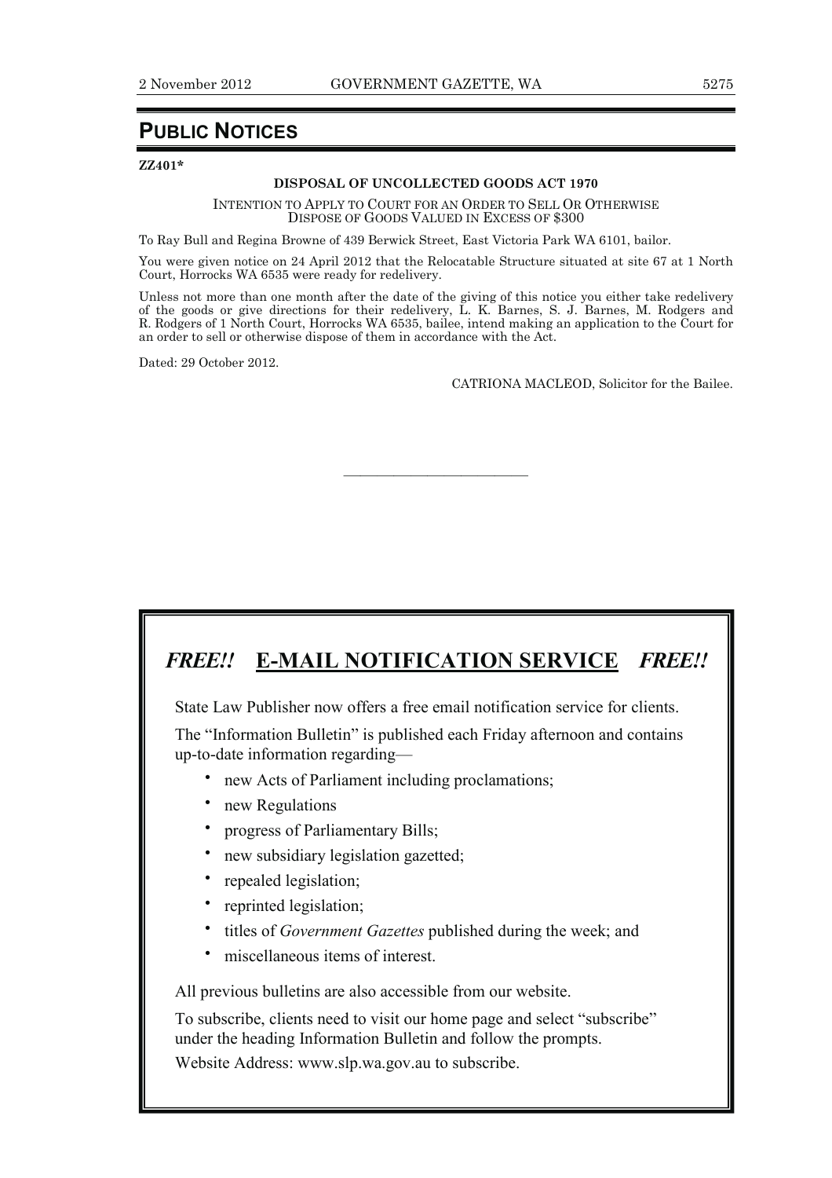## **PUBLIC NOTICES**

**ZZ401\*** 

#### **DISPOSAL OF UNCOLLECTED GOODS ACT 1970**

INTENTION TO APPLY TO COURT FOR AN ORDER TO SELL OR OTHERWISE DISPOSE OF GOODS VALUED IN EXCESS OF \$300

To Ray Bull and Regina Browne of 439 Berwick Street, East Victoria Park WA 6101, bailor.

You were given notice on 24 April 2012 that the Relocatable Structure situated at site 67 at 1 North Court, Horrocks WA 6535 were ready for redelivery.

Unless not more than one month after the date of the giving of this notice you either take redelivery of the goods or give directions for their redelivery, L. K. Barnes, S. J. Barnes, M. Rodgers and R. Rodgers of 1 North Court, Horrocks WA 6535, bailee, intend making an application to the Court for an order to sell or otherwise dispose of them in accordance with the Act.

———————————

Dated: 29 October 2012.

CATRIONA MACLEOD, Solicitor for the Bailee.

## *FREE!!* **E-MAIL NOTIFICATION SERVICE** *FREE!!*

State Law Publisher now offers a free email notification service for clients.

The "Information Bulletin" is published each Friday afternoon and contains up-to-date information regarding—

- **·** new Acts of Parliament including proclamations;
- **·** new Regulations
- **·** progress of Parliamentary Bills;
- **·** new subsidiary legislation gazetted;
- **·** repealed legislation;
- **·** reprinted legislation;
- **·** titles of *Government Gazettes* published during the week; and
- **·** miscellaneous items of interest.

All previous bulletins are also accessible from our website.

To subscribe, clients need to visit our home page and select "subscribe" under the heading Information Bulletin and follow the prompts.

Website Address: www.slp.wa.gov.au to subscribe.